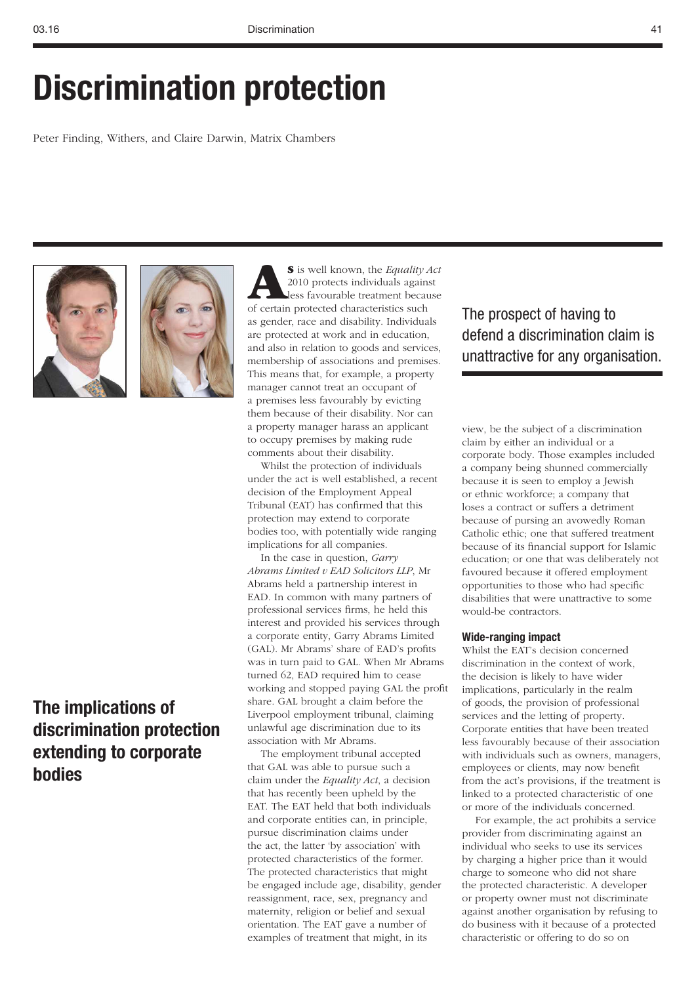# **Discrimination protection**

Peter Finding, Withers, and Claire Darwin, Matrix Chambers





## **The implications of discrimination protection extending to corporate bodies**

**AS** is well known, the *Equality Act* 2010 protects individuals against less favourable treatment because of certain protected characteristics such as gender, race and disability. Individuals are protected at work and in education, and also in relation to goods and services, membership of associations and premises. This means that, for example, a property manager cannot treat an occupant of a premises less favourably by evicting them because of their disability. Nor can a property manager harass an applicant to occupy premises by making rude comments about their disability.

Whilst the protection of individuals under the act is well established, a recent decision of the Employment Appeal Tribunal (EAT) has confirmed that this protection may extend to corporate bodies too, with potentially wide ranging implications for all companies.

In the case in question, *Garry Abrams Limited v EAD Solicitors LLP*, Mr Abrams held a partnership interest in EAD. In common with many partners of professional services firms, he held this interest and provided his services through a corporate entity, Garry Abrams Limited (GAL). Mr Abrams' share of EAD's profits was in turn paid to GAL. When Mr Abrams turned 62, EAD required him to cease working and stopped paying GAL the profit share. GAL brought a claim before the Liverpool employment tribunal, claiming unlawful age discrimination due to its association with Mr Abrams.

The employment tribunal accepted that GAL was able to pursue such a claim under the *Equality Act*, a decision that has recently been upheld by the EAT. The EAT held that both individuals and corporate entities can, in principle, pursue discrimination claims under the act, the latter 'by association' with protected characteristics of the former. The protected characteristics that might be engaged include age, disability, gender reassignment, race, sex, pregnancy and maternity, religion or belief and sexual orientation. The EAT gave a number of examples of treatment that might, in its

## The prospect of having to defend a discrimination claim is unattractive for any organisation.

view, be the subject of a discrimination claim by either an individual or a corporate body. Those examples included a company being shunned commercially because it is seen to employ a Jewish or ethnic workforce; a company that loses a contract or suffers a detriment because of pursing an avowedly Roman Catholic ethic; one that suffered treatment because of its financial support for Islamic education; or one that was deliberately not favoured because it offered employment opportunities to those who had specific disabilities that were unattractive to some would-be contractors.

### **Wide-ranging impact**

Whilst the EAT's decision concerned discrimination in the context of work, the decision is likely to have wider implications, particularly in the realm of goods, the provision of professional services and the letting of property. Corporate entities that have been treated less favourably because of their association with individuals such as owners, managers, employees or clients, may now benefit from the act's provisions, if the treatment is linked to a protected characteristic of one or more of the individuals concerned.

For example, the act prohibits a service provider from discriminating against an individual who seeks to use its services by charging a higher price than it would charge to someone who did not share the protected characteristic. A developer or property owner must not discriminate against another organisation by refusing to do business with it because of a protected characteristic or offering to do so on